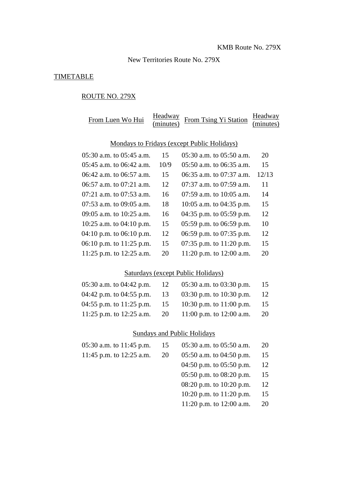New Territories Route No. 279X

## **TIMETABLE**

# ROUTE NO. 279X

| From Luen Wo Hui                            | Headway<br>(minutes) | From Tsing Yi Station        | Headway<br>(minutes) |  |
|---------------------------------------------|----------------------|------------------------------|----------------------|--|
| Mondays to Fridays (except Public Holidays) |                      |                              |                      |  |
| $05:30$ a.m. to $05:45$ a.m.                | 15                   | 05:30 a.m. to 05:50 a.m.     | 20                   |  |
| 05:45 a.m. to 06:42 a.m.                    | 10/9                 | $05:50$ a.m. to $06:35$ a.m. | 15                   |  |
| 06:42 a.m. to 06:57 a.m.                    | 15                   | $06:35$ a.m. to $07:37$ a.m. | 12/13                |  |
| $06:57$ a.m. to $07:21$ a.m.                | 12                   | $07:37$ a.m. to $07:59$ a.m. | 11                   |  |
| 07:21 a.m. to 07:53 a.m.                    | 16                   | 07:59 a.m. to 10:05 a.m.     | 14                   |  |
| 07:53 a.m. to 09:05 a.m.                    | 18                   | 10:05 a.m. to 04:35 p.m.     | 15                   |  |
| 09:05 a.m. to 10:25 a.m.                    | 16                   | 04:35 p.m. to $05:59$ p.m.   | 12                   |  |
| 10:25 a.m. to $04:10$ p.m.                  | 15                   | 05:59 p.m. to $06:59$ p.m.   | 10                   |  |
| 04:10 p.m. to $06:10$ p.m.                  | 12                   | 06:59 p.m. to 07:35 p.m.     | 12                   |  |
| 06:10 p.m. to $11:25$ p.m.                  | 15                   | 07:35 p.m. to $11:20$ p.m.   | 15                   |  |
| 11:25 p.m. to $12:25$ a.m.                  | 20                   | 11:20 p.m. to 12:00 a.m.     | 20                   |  |

#### Saturdays (except Public Holidays)

| -12                               | 05:30 a.m. to 03:30 p.m.   | 15 |
|-----------------------------------|----------------------------|----|
| 04:42 p.m. to 04:55 p.m.<br>-13   | 03:30 p.m. to 10:30 p.m.   | 12 |
| 04:55 p.m. to $11:25$ p.m.<br>-15 | 10:30 p.m. to $11:00$ p.m. | 15 |
| 11:25 p.m. to 12:25 a.m.<br>20    | 11:00 p.m. to 12:00 a.m.   | 20 |
|                                   |                            |    |

# Sundays and Public Holidays

| 05:30 a.m. to $11:45$ p.m. | 15 | 05:30 a.m. to 05:50 a.m.   | 20 |
|----------------------------|----|----------------------------|----|
| 11:45 p.m. to 12:25 a.m.   | 20 | 05:50 a.m. to $04:50$ p.m. | 15 |
|                            |    | 04:50 p.m. to $05:50$ p.m. | 12 |
|                            |    | 05:50 p.m. to $08:20$ p.m. | 15 |
|                            |    | 08:20 p.m. to $10:20$ p.m. | 12 |
|                            |    | 10:20 p.m. to $11:20$ p.m. | 15 |
|                            |    | 11:20 p.m. to $12:00$ a.m. | 20 |